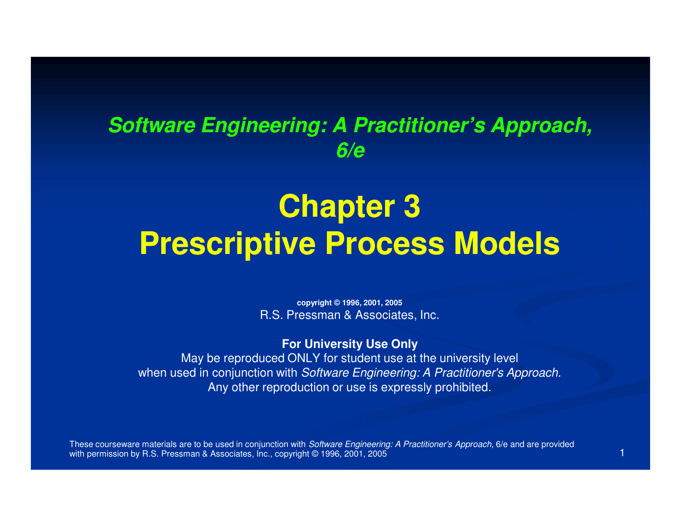#### **Software Engineering: A Practitioner's Approach, 6/e**

# **Chapter 3Prescriptive Process Models**

**copyright © 1996, 2001, 2005**R.S. Pressman & Associates, Inc.

**For University Use Only**

 May be reproduced ONLY for student use at the university levelwhen used in conjunction with Software Engineering: A Practitioner's Approach. Any other reproduction or use is expressly prohibited.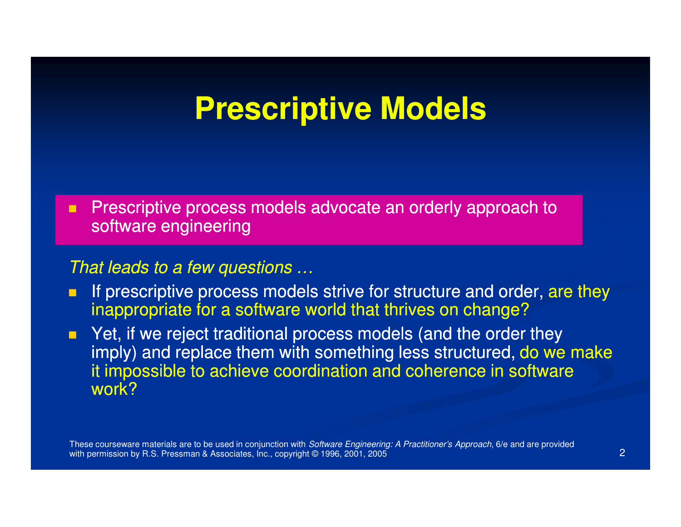### **Prescriptive Models**

п Prescriptive process models advocate an orderly approach to software engineering

#### That leads to a few questions …

- If prescriptive process models strive for structure and order, are they п inappropriate for a software world that thrives on change?
- P Yet, if we reject traditional process models (and the order they  $\blacksquare$ imply) and replace them with something less structured, do we make it impossible to achieve coordination and coherence in software work?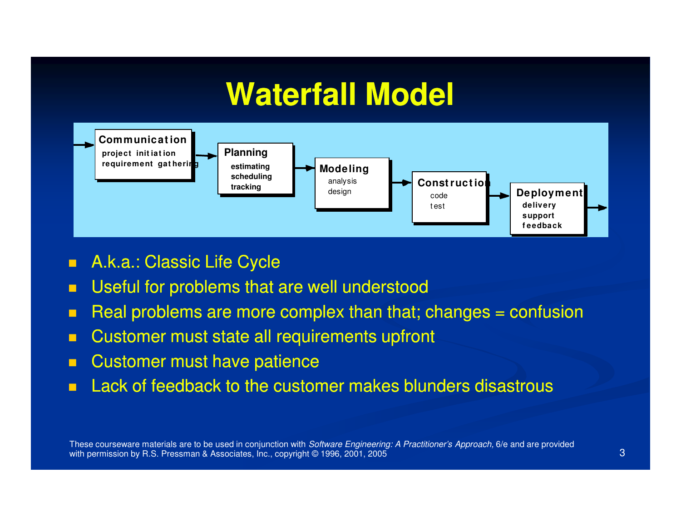### **Waterfall Model**



- $\blacksquare$ A.k.a.: Classic Life Cycle
- **Useful for problems that are well understood**  $\blacksquare$
- $\blacksquare$ Real problems are more complex than that; changes = confusion
- $\blacksquare$ Customer must state all requirements upfront
- П Customer must have patience
- **Lack of feedback to the customer makes blunders disastrous**  $\blacksquare$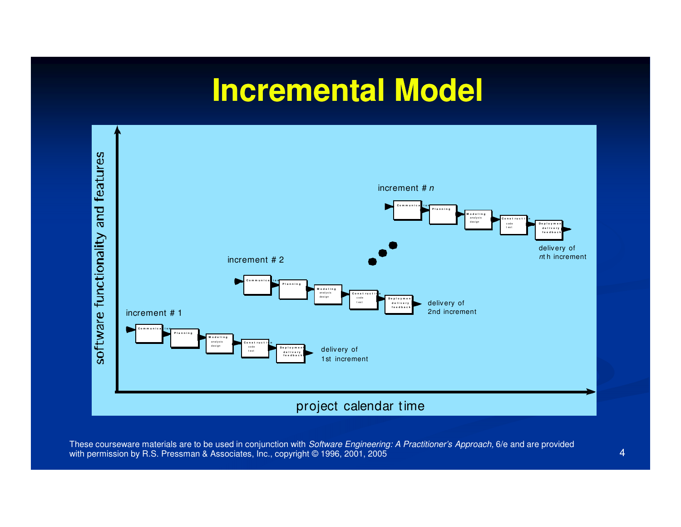# **Incremental Model**

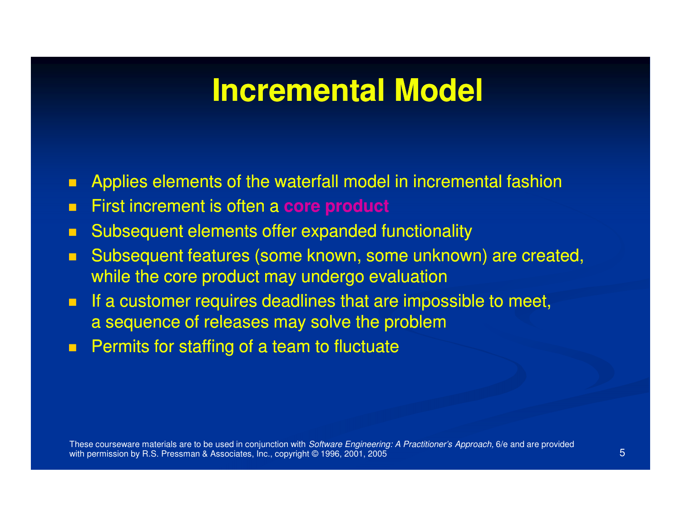#### **Incremental Model**

- $\blacksquare$ Applies elements of the waterfall model in incremental fashion
- $\blacksquare$ First increment is often a **core product**
- $\blacksquare$ Subsequent elements offer expanded functionality
- $\blacksquare$  Subsequent features (some known, some unknown) are created, while the core product may undergo evaluation
- $\blacksquare$  If a customer requires deadlines that are impossible to meet, a sequence of releases may solve the problem
- $\blacksquare$ Permits for staffing of a team to fluctuate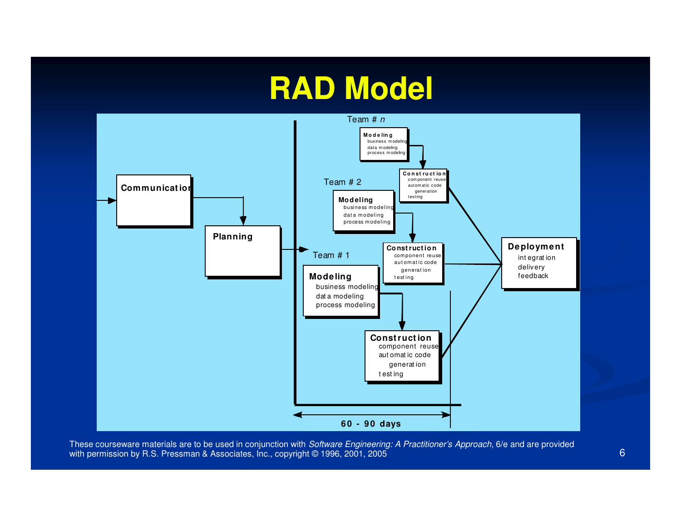# **RAD Model**



These courseware materials are to be used in conjunction with *Software Engineering: A Practitioner's Approach,* 6/e and are provided with permission by R.S. Pressman & Associates, Inc., copyright © 1996, 2001, 2005 **6 Contract Contract Contract Contract Contract Contract Contract Contract Contract Contract Contract Contract Contract Contract Contract Co**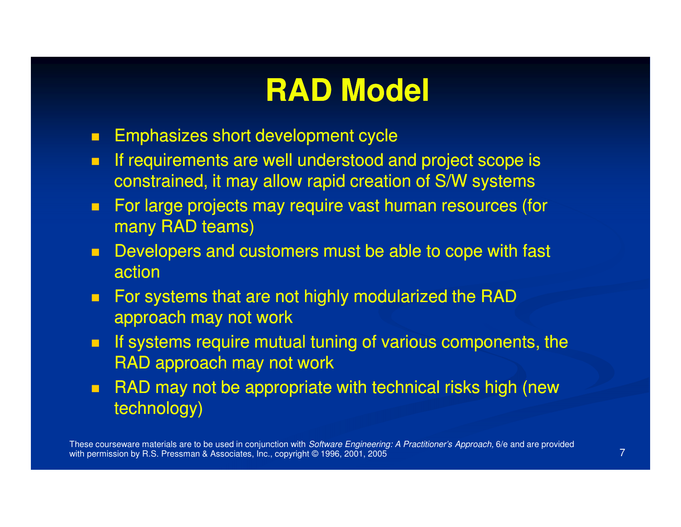# **RAD Model**

- $\blacksquare$ Emphasizes short development cycle
- **If requirements are well understood and project scope is** П constrained, it may allow rapid creation of S/W systems
- $\blacksquare$  For large projects may require vast human resources (for many RAD teams)
- $\blacksquare$  Developers and customers must be able to cope with fast action
- $\blacksquare$  For systems that are not highly modularized the RADapproach may not work
- $\blacksquare$  If systems require mutual tuning of various components, the RAD approach may not work
- $\blacksquare$  RAD may not be appropriate with technical risks high (new technology)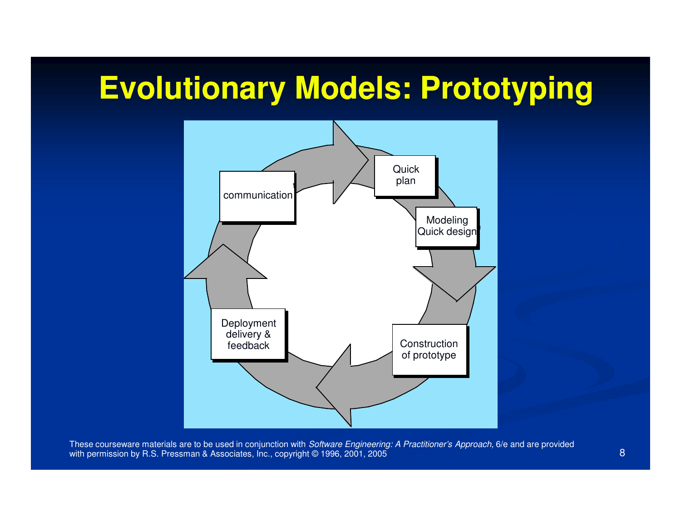# **Evolutionary Models: Prototyping**

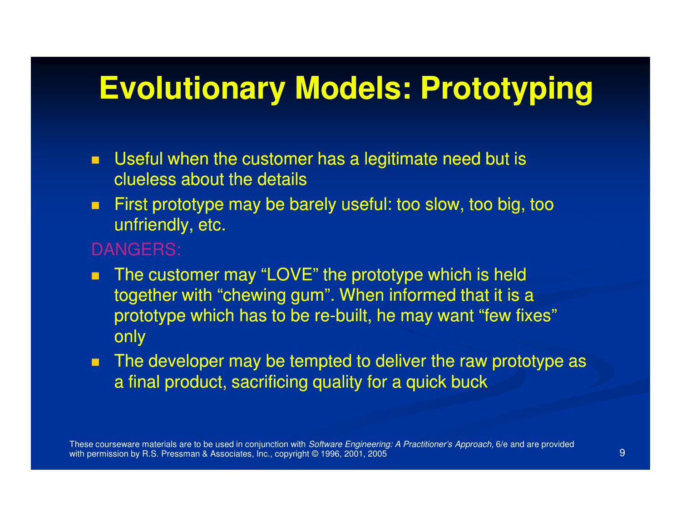# **Evolutionary Models: Prototyping**

- $\blacksquare$  Useful when the customer has a legitimate need but is clueless about the details
- $\blacksquare$  First prototype may be barely useful: too slow, too big, too unfriendly, etc.
- DANGERS:
- $\blacksquare$  The customer may "LOVE" the prototype which is held together with "chewing gum". When informed that it is a prototype which has to be re-built, he may want "few fixes" only
- $\blacksquare$ The developer may be tempted to deliver the raw prototype as a final product, sacrificing quality for a quick buck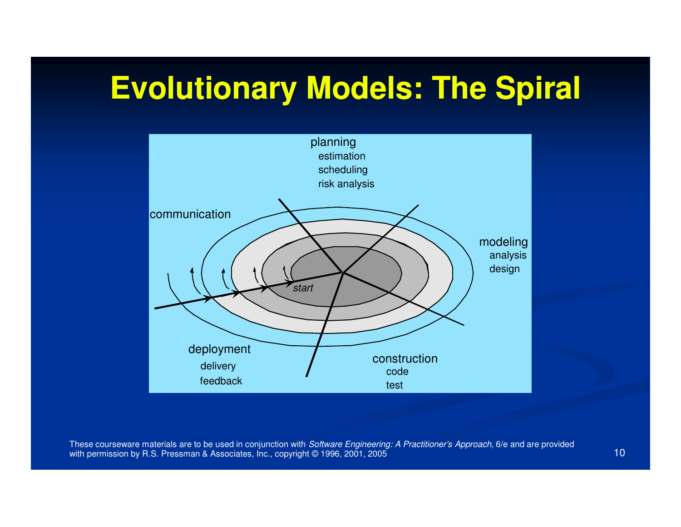# **Evolutionary Models: The Spiral**

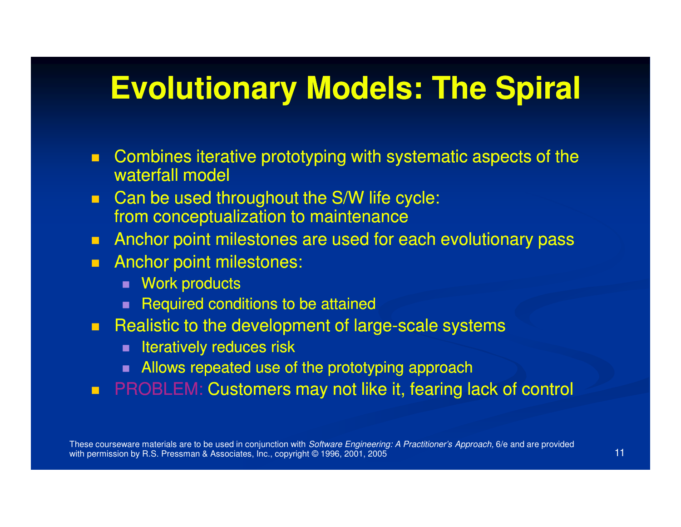### **Evolutionary Models: The Spiral**

- $\blacksquare$  Combines iterative prototyping with systematic aspects of the waterfall model
- $\blacksquare$  Can be used throughout the S/W life cycle: from conceptualization to maintenance
- **EXTERGHT Anchor point milestones are used for each evolutionary pass**  $\blacksquare$
- **Anchor point milestones:** 
	- Work products
	- $\blacksquare$  Required conditions to be attained
- Realistic to the development of large-scale systems<br>statically reduces risk
	- $\blacksquare$  Iteratively reduces risk
	- **Allows repeated use of the prototyping approach**
- **PROBLEM: Customers may not like it, fearing lack of control**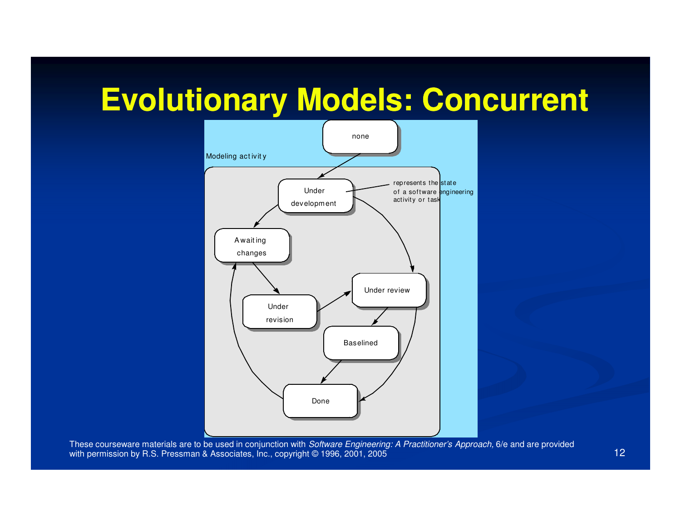# **Evolutionary Models: Concurrent**

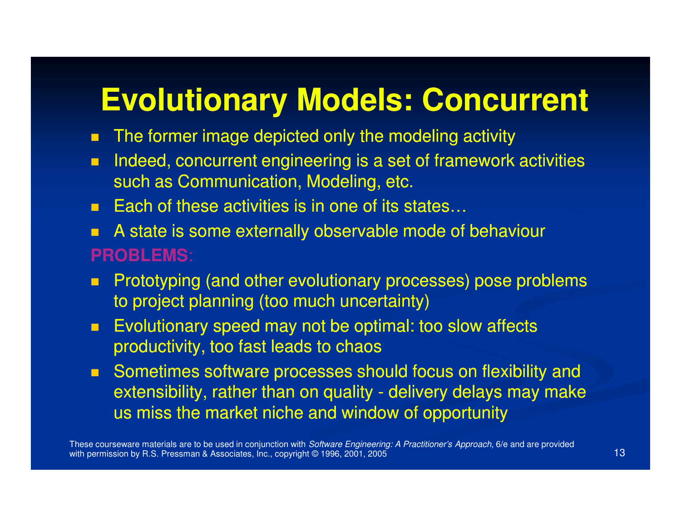# **Evolutionary Models: Concurrent**

- П ■ The former image depicted only the modeling activity
- $\blacksquare$  Indeed, concurrent engineering is a set of framework activities such as Communication, Modeling, etc.
- $\blacksquare$ Each of these activities is in one of its states…
- A state is some externally observable mode of behaviour П **PROBLEMS**:
- $\blacksquare$  Prototyping (and other evolutionary processes) pose problems to project planning (too much uncertainty)
- $\blacksquare$  Evolutionary speed may not be optimal: too slow affects productivity, too fast leads to chaos
- $\blacksquare$  Sometimes software processes should focus on flexibility and extensibility, rather than on quality - delivery delays may make  $\overline{\phantom{a}}$ us miss the market niche and window of opportunity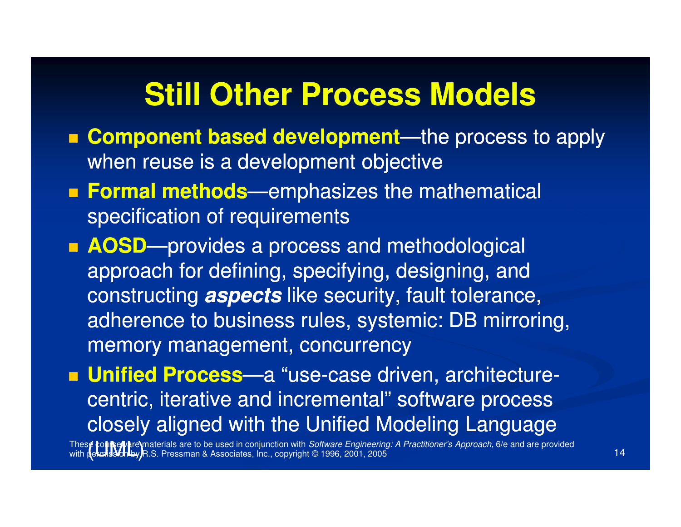### **Still Other Process Models**

- **Example of the Component Component Component based development**—the process to apply when reuse is a development objective
- **Formal methods**—emphasizes the mathematical specification of requirements
- **AOSD**—provides a process and methodological approach for defining, specifying, designing, and constructing **aspects** like security, fault tolerance, adherence to business rules, systemic: DB mirroring, memory management, concurrency

**Linified Process**—a "use-case driven, architecture centric, iterative and incremental" software process closely aligned with the Unified Modeling Language

Thes**e coursely t**re materials are to be used in conjunction with *Software Engineering: A Practitioner's Approach,* 6/e and are provided with **permission by R**.S. Pressman & Associates, Inc., copyright © 1996, 2001, 2005 14 November 2001, 2009 14 November 2001, 2009 14 November 2002 14 ∉ **to∎New**are\materials are to be used in conjunction with *Software Engineering: A Practitioner's Approach,* 6/e and are prov<br>(ekods3onLby)R.S. Pressman & Associates, Inc., copyright © 1996, 2001, 2005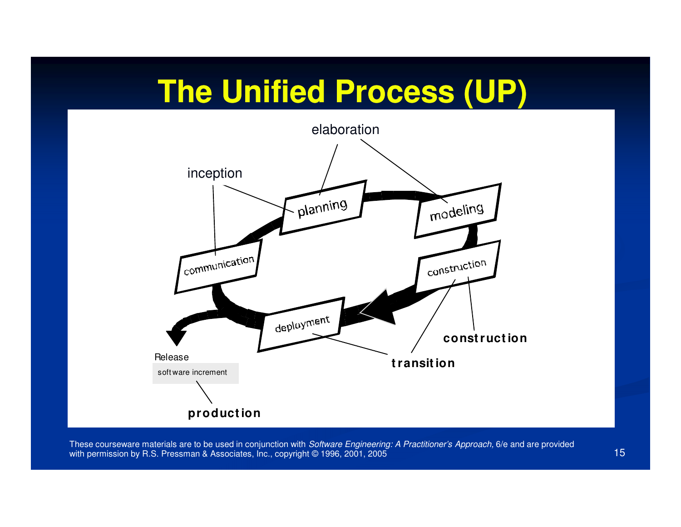# **The Unified Process (UP)**

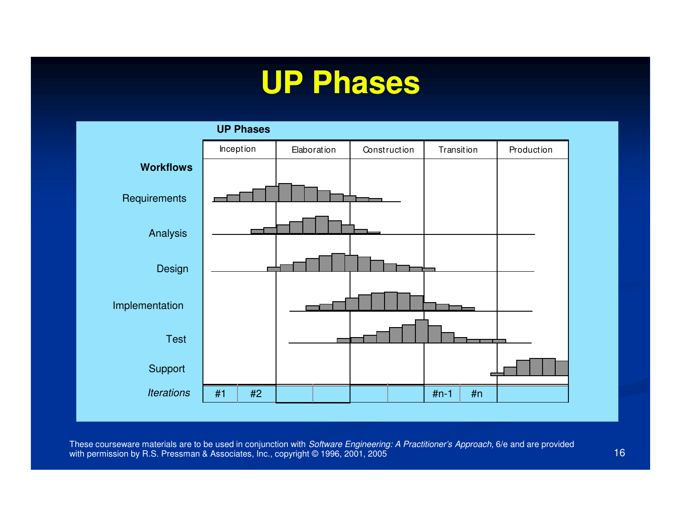# **UP Phases**